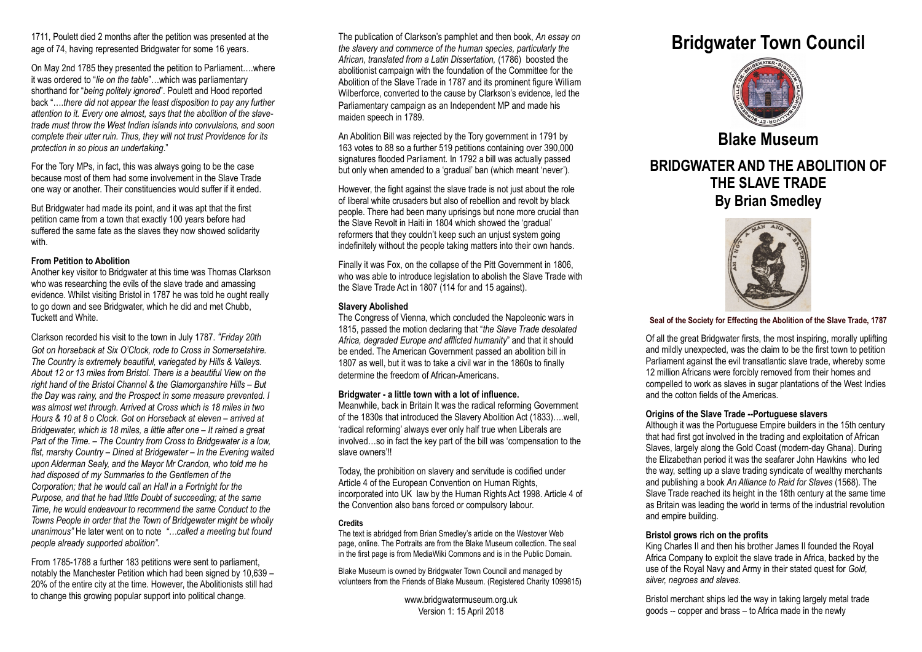1711, Poulett died 2 months after the petition was presented at the age of 74, having represented Bridgwater for some 16 years.

On May 2nd 1785 they presented the petition to Parliament….where it was ordered to "*lie on the table*"…which was parliamentary shorthand for "*being politely ignored*". Poulett and Hood reported back "….*there did not appear the least disposition to pay any further attention to it. Every one almost, says that the abolition of the slavetrade must throw the West Indian islands into convulsions, and soon complete their utter ruin. Thus, they will not trust Providence for its protection in so pious an undertaking*."

For the Tory MPs, in fact, this was always going to be the case because most of them had some involvement in the Slave Trade one way or another. Their constituencies would suffer if it ended.

But Bridgwater had made its point, and it was apt that the first petition came from a town that exactly 100 years before had suffered the same fate as the slaves they now showed solidarity with.

# **From Petition to Abolition**

Another key visitor to Bridgwater at this time was Thomas Clarkson who was researching the evils of the slave trade and amassing evidence. Whilst visiting Bristol in 1787 he was told he ought really to go down and see Bridgwater, which he did and met Chubb, Tuckett and White.

Clarkson recorded his visit to the town in July 1787. *"Friday 20th Got on horseback at Six O'Clock, rode to Cross in Somersetshire. The Country is extremely beautiful, variegated by Hills & Valleys. About 12 or 13 miles from Bristol. There is a beautiful View on the right hand of the Bristol Channel & the Glamorganshire Hills – But the Day was rainy, and the Prospect in some measure prevented. I was almost wet through. Arrived at Cross which is 18 miles in two Hours & 10 at 8 o Clock. Got on Horseback at eleven – arrived at Bridgewater, which is 18 miles, a little after one – It rained a great Part of the Time. – The Country from Cross to Bridgewater is a low, flat, marshy Country – Dined at Bridgewater – In the Evening waited upon Alderman Sealy, and the Mayor Mr Crandon, who told me he had disposed of my Summaries to the Gentlemen of the Corporation; that he would call an Hall in a Fortnight for the Purpose, and that he had little Doubt of succeeding; at the same Time, he would endeavour to recommend the same Conduct to the Towns People in order that the Town of Bridgewater might be wholly unanimous"* He later went on to note *"…called a meeting but found people already supported abolition".*

From 1785-1788 a further 183 petitions were sent to parliament, notably the Manchester Petition which had been signed by 10,639 – 20% of the entire city at the time. However, the Abolitionists still had to change this growing popular support into political change.

The publication of Clarkson's pamphlet and then book, *An essay on the slavery and commerce of the human species, particularly the African, translated from a Latin Dissertation,* (1786) boosted the abolitionist campaign with the foundation of the Committee for the Abolition of the Slave Trade in 1787 and its prominent figure William Wilberforce, converted to the cause by Clarkson's evidence, led the Parliamentary campaign as an Independent MP and made his maiden speech in 1789.

An Abolition Bill was rejected by the Tory government in 1791 by 163 votes to 88 so a further 519 petitions containing over 390,000 signatures flooded Parliament. In 1792 a bill was actually passed but only when amended to a 'gradual' ban (which meant 'never').

However, the fight against the slave trade is not just about the role of liberal white crusaders but also of rebellion and revolt by black people. There had been many uprisings but none more crucial than the Slave Revolt in Haiti in 1804 which showed the 'gradual' reformers that they couldn't keep such an unjust system going indefinitely without the people taking matters into their own hands.

Finally it was Fox, on the collapse of the Pitt Government in 1806, who was able to introduce legislation to abolish the Slave Trade with the Slave Trade Act in 1807 (114 for and 15 against).

# **Slavery Abolished**

The Congress of Vienna, which concluded the Napoleonic wars in 1815, passed the motion declaring that "*the Slave Trade desolated Africa, degraded Europe and afflicted humanity*" and that it should be ended. The American Government passed an abolition bill in 1807 as well, but it was to take a civil war in the 1860s to finally determine the freedom of African-Americans.

# **Bridgwater - a little town with a lot of influence.**

Meanwhile, back in Britain It was the radical reforming Government of the 1830s that introduced the Slavery Abolition Act (1833)….well, 'radical reforming' always ever only half true when Liberals are involved…so in fact the key part of the bill was 'compensation to the slave owners'!!

Today, the prohibition on slavery and servitude is codified under Article 4 of the European Convention on Human Rights, incorporated into UK law by the Human Rights Act 1998. Article 4 of the Convention also bans forced or compulsory labour.

# **Credits**

The text is abridged from Brian Smedley's article on the Westover Web page, online. The Portraits are from the Blake Museum collection. The seal in the first page is from MediaWiki Commons and is in the Public Domain.

Blake Museum is owned by Bridgwater Town Council and managed by volunteers from the Friends of Blake Museum. (Registered Charity 1099815)

> www.bridgwatermuseum.org.uk Version 1: 15 April 2018

# **Bridgwater Town Council**



**Blake Museum**

# **BRIDGWATER AND THE ABOLITION OF THE SLAVE TRADE By Brian Smedley**



#### **Seal of the Society for Effecting the Abolition of the Slave Trade, 1787**

Of all the great Bridgwater firsts, the most inspiring, morally uplifting and mildly unexpected, was the claim to be the first town to petition Parliament against the evil transatlantic slave trade, whereby some 12 million Africans were forcibly removed from their homes and compelled to work as slaves in sugar plantations of the West Indies and the cotton fields of the Americas.

# **Origins of the Slave Trade --Portuguese slavers**

Although it was the Portuguese Empire builders in the 15th century that had first got involved in the trading and exploitation of African Slaves, largely along the Gold Coast (modern-day Ghana). During the Elizabethan period it was the seafarer John Hawkins who led the way, setting up a slave trading syndicate of wealthy merchants and publishing a book *An Alliance to Raid for Slaves* (1568). The Slave Trade reached its height in the 18th century at the same time as Britain was leading the world in terms of the industrial revolution and empire building.

# **Bristol grows rich on the profits**

King Charles II and then his brother James II founded the Royal Africa Company to exploit the slave trade in Africa, backed by the use of the Royal Navy and Army in their stated quest for *Gold, silver, negroes and slaves.*

Bristol merchant ships led the way in taking largely metal trade goods -- copper and brass – to Africa made in the newly